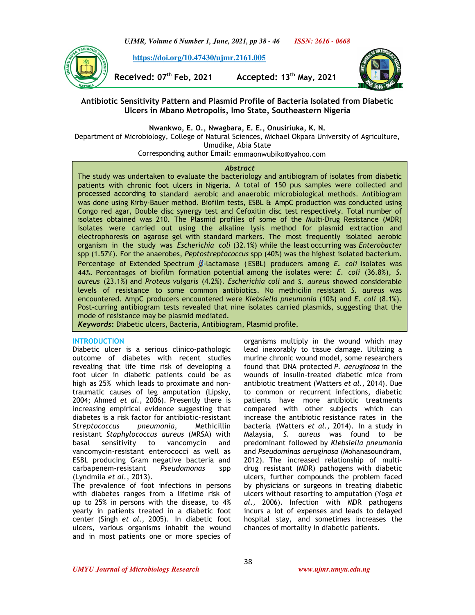*UJMR, Volume 6 Number 1, June, 2021, pp 38 - 46 ISSN: 2616 - 0668*

 **https://doi.org/10.47430/ujmr.2161.005**

**Received: 07th Feb, 2021 Accepted: 13th May, 2021**



# **Antibiotic Sensitivity Pattern and Plasmid Profile of Bacteria Isolated from Diabetic Ulcers in Mbano Metropolis, Imo State, Southeastern Nigeria**

**Nwankwo, E. O., Nwagbara, E. E., Onusiriuka, K. N.**

Department of Microbiology, College of Natural Sciences, Michael Okpara University of Agriculture, Umudike, Abia State

Corresponding author Email: emmaonwubiko@yahoo.com

## *Abstract*

The study was undertaken to evaluate the bacteriology and antibiogram of isolates from diabetic patients with chronic foot ulcers in Nigeria. A total of 150 pus samples were collected and processed according to standard aerobic and anaerobic microbiological methods. Antibiogram was done using Kirby-Bauer method. Biofilm tests, ESBL & AmpC production was conducted using Congo red agar, Double disc synergy test and Cefoxitin disc test respectively. Total number of isolates obtained was 210. The Plasmid profiles of some of the Multi-Drug Resistance (MDR) isolates were carried out using the alkaline lysis method for plasmid extraction and electrophoresis on agarose gel with standard markers. The most frequently isolated aerobic organism in the study was *Escherichia coli* (32.1%) while the least occurring was *Enterobacter*  spp (1.57%). For the anaerobes, *Peptostreptococcus* spp (40%) was the highest isolated bacterium. Percentage of Extended Spectrum  $\beta$ -lactamase (ESBL) producers among *E. coli* isolates was 44%. Percentages of biofilm formation potential among the isolates were: *E. coli* (36.8%), *S. aureus* (23.1%) and *Proteus vulgaris* (4.2%). *Escherichia coli* and *S. aureus* showed considerable levels of resistance to some common antibiotics. No methicilin resistant *S. aureus* was encountered. AmpC producers encountered were *Klebsiella pneumonia* (10%) and *E. coli* (8.1%). Post-curring antibiogram tests revealed that nine isolates carried plasmids, suggesting that the mode of resistance may be plasmid mediated.

*Keywords***:** Diabetic ulcers, Bacteria, Antibiogram, Plasmid profile.

#### **INTRODUCTION**

Diabetic ulcer is a serious clinico-pathologic outcome of diabetes with recent studies revealing that life time risk of developing a foot ulcer in diabetic patients could be as high as 25% which leads to proximate and nontraumatic causes of leg amputation (Lipsky, 2004; Ahmed *et al.,* 2006). Presently there is increasing empirical evidence suggesting that diabetes is a risk factor for antibiotic-resistant *Streptococcus pneumonia*, Methicillin resistant *Staphylococcus aureus* (MRSA) with basal sensitivity to vancomycin and vancomycin-resistant enterococci as well as ESBL producing Gram negative bacteria and carbapenem-resistant *Pseudomonas* spp (Lyndmila *et al.,* 2013).

The prevalence of foot infections in persons with diabetes ranges from a lifetime risk of up to 25% in persons with the disease, to 4% yearly in patients treated in a diabetic foot center (Singh *et al.,* 2005). In diabetic foot ulcers, various organisms inhabit the wound and in most patients one or more species of organisms multiply in the wound which may lead inexorably to tissue damage. Utilizing a murine chronic wound model, some researchers found that DNA protected *P. aeruginosa* in the wounds of insulin-treated diabetic mice from antibiotic treatment (Watters *et al.,* 2014). Due to common or recurrent infections, diabetic patients have more antibiotic treatments compared with other subjects which can increase the antibiotic resistance rates in the bacteria (Watters *et al.,* 2014). In a study in Malaysia, *S. aureus* was found to be predominant followed by *Klebsiella pneumonia*  and *Pseudominas aeruginosa* (Mohanasoundram, 2012)*.* The increased relationship of multidrug resistant (MDR) pathogens with diabetic ulcers, further compounds the problem faced by physicians or surgeons in treating diabetic ulcers without resorting to amputation (Yoga *et al.,* 2006). Infection with MDR pathogens incurs a lot of expenses and leads to delayed hospital stay, and sometimes increases the chances of mortality in diabetic patients.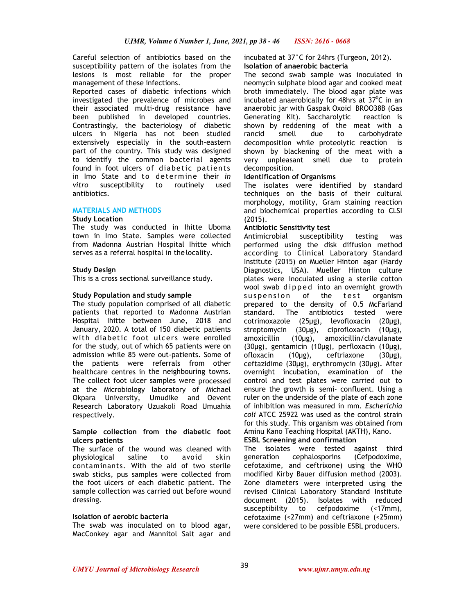Careful selection of antibiotics based on the susceptibility pattern of the isolates from the lesions is most reliable for the proper management of these infections.

Reported cases of diabetic infections which investigated the prevalence of microbes and their associated multi-drug resistance have been published in developed countries. Contrastingly, the bacteriology of diabetic ulcers in Nigeria has not been studied extensively especially in the south-eastern part of the country. This study was designed to identify the common bacterial agents found in foot ulcers of diabetic patients in Imo State and to determine their *in vitro* susceptibility to routinely used antibiotics.

## **MATERIALS AND METHODS**

#### **Study Location**

The study was conducted in Ihitte Uboma town in Imo State. Samples were collected from Madonna Austrian Hospital Ihitte which serves as a referral hospital in the locality.

#### **Study Design**

This is a cross sectional surveillance study.

#### **Study Population and study sample**

The study population comprised of all diabetic patients that reported to Madonna Austrian Hospital Ihitte between June, 2018 and January, 2020. A total of 150 diabetic patients with diabetic foot ulcers were enrolled for the study, out of which 65 patients were on admission while 85 were out-patients. Some of the patients were referrals from other healthcare centres in the neighbouring towns. The collect foot ulcer samples were processed at the Microbiology laboratory of Michael Okpara University, Umudike and Oevent Research Laboratory Uzuakoli Road Umuahia respectively.

#### **Sample collection from the diabetic foot ulcers patients**

The surface of the wound was cleaned with physiological saline to avoid skin contaminants. With the aid of two sterile swab sticks, pus samples were collected from the foot ulcers of each diabetic patient. The sample collection was carried out before wound dressing.

#### **Isolation of aerobic bacteria**

The swab was inoculated on to blood agar, MacConkey agar and Mannitol Salt agar and incubated at 37°C for 24hrs (Turgeon, 2012). **Isolation of anaerobic bacteria** 

The second swab sample was inoculated in neomycin sulphate blood agar and cooked meat broth immediately. The blood agar plate was incubated anaerobically for 48hrs at  $37^{\circ}$ C in an anaerobic jar with Gaspak Oxoid BROO38B (Gas Generating Kit). Saccharolytic reaction is shown by reddening of the meat with a rancid smell due to carbohydrate decomposition while proteolytic reaction is shown by blackening of the meat with a very unpleasant smell due to protein decomposition.

#### **Identification of Organisms**

The isolates were identified by standard techniques on the basis of their cultural morphology, motility, Gram staining reaction and biochemical properties according to CLSI (2015).

## **Antibiotic Sensitivity test**

Antimicrobial susceptibility testing was performed using the disk diffusion method according to Clinical Laboratory Standard Institute (2015) on Mueller Hinton agar (Hardy Diagnostics, USA). Mueller Hinton culture plates were inoculated using a sterile cotton wool swab dipped into an overnight growth suspension of the test organism prepared to the density of 0.5 McFarland standard. The antibiotics tested were cotrimoxazole (25µg), levofloxacin (20µg), streptomycin (30µg), ciprofloxacin (10µg), amoxicillin (10µg), amoxicillin/clavulanate (30µg), gentamicin (10µg), perfloxacin (10µg), ofloxacin (10µg), ceftriaxone (30µg), ceftazidime (30µg), erythromycin (30µg). After overnight incubation, examination of the control and test plates were carried out to ensure the growth is semi- confluent. Using a ruler on the underside of the plate of each zone of inhibition was measured in mm. *Escherichia coli* ATCC 25922 was used as the control strain for this study. This organism was obtained from Aminu Kano Teaching Hospital (AKTH), Kano.

# **ESBL Screening and confirmation**

The isolates were tested against third generation cephalosporins (Cefpodoxime, cefotaxime, and ceftrixone) using the WHO modified Kirby Bauer diffusion method (2003). Zone diameters were interpreted using the revised Clinical Laboratory Standard Institute document (2015). Isolates with reduced susceptibility to cefpodoxime (<17mm), cefotaxime (<27mm) and ceftriaxone (<25mm) were considered to be possible ESBL producers.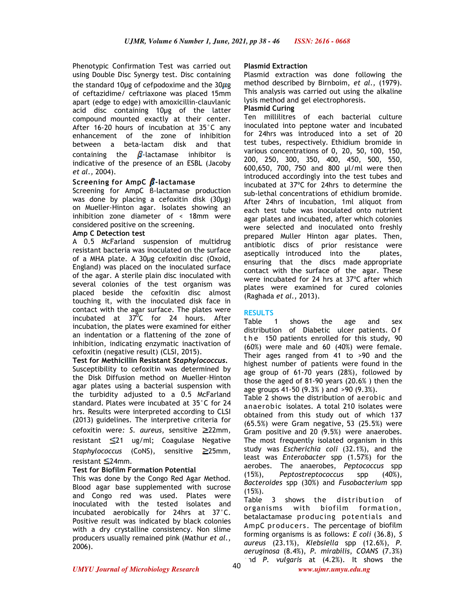Phenotypic Confirmation Test was carried out using Double Disc Synergy test. Disc containing the standard 10µg of cefpodoxime and the  $30\mu$ g of ceftazidime/ ceftriaxone was placed 15mm apart (edge to edge) with amoxicillin-clauvlanic acid disc containing 10µg of the latter compound mounted exactly at their center. After 16-20 hours of incubation at 35°C any enhancement of the zone of inhibition between a beta-lactam disk and that containing the  $\beta$ -lactamase inhibitor is indicative of the presence of an ESBL (Jacoby *et al.,* 2004).

## **Screening for AmpC <b>B**-lactamase

Screening for AmpC β-lactamase production was done by placing a cefoxitin disk (30µg) on Mueller-Hinton agar. Isolates showing an inhibition zone diameter of < 18mm were considered positive on the screening.

#### **Amp C Detection test**

A 0.5 McFarland suspension of multidrug resistant bacteria was inoculated on the surface of a MHA plate. A 30µg cefoxitin disc (Oxoid, England) was placed on the inoculated surface of the agar. A sterile plain disc inoculated with several colonies of the test organism was placed beside the cefoxitin disc almost touching it, with the inoculated disk face in contact with the agar surface. The plates were incubated at  $37^{\overline{0}}$ C for 24 hours. After incubation, the plates were examined for either an indentation or a flattening of the zone of inhibition, indicating enzymatic inactivation of cefoxitin (negative result) (CLSI, 2015).

#### **Test for Methicillin Resistant** *Staphylococcus***.**

Susceptibility to cefoxitin was determined by the Disk Diffusion method on Mueller–Hinton agar plates using a bacterial suspension with the turbidity adjusted to a 0.5 McFarland standard. Plates were incubated at 35°C for 24 hrs. Results were interpreted according to CLSI (2013) guidelines. The interpretive criteria for cefoxitin were*: S. aureus*, sensitive 22mm, resistant  $\leq 21$  ug/ml; Coagulase Negative *Staphylococcus* (CoNS), sensitive **≥25mm**, resistant  $\leq$ 24mm.

#### **Test for Biofilm Formation Potential**

This was done by the Congo Red Agar Method. Blood agar base supplemented with sucrose and Congo red was used. Plates were inoculated with the tested isolates and incubated aerobically for 24hrs at 37°C. Positive result was indicated by black colonies with a dry crystalline consistency. Non slime producers usually remained pink (Mathur *et al.,*  2006).

#### **Plasmid Extraction**

Plasmid extraction was done following the method described by Birnboim, *et al.,* (1979). This analysis was carried out using the alkaline lysis method and gel electrophoresis.

#### **Plasmid Curing**

Ten millilitres of each bacterial culture inoculated into peptone water and incubated for 24hrs was introduced into a set of 20 test tubes, respectively. Ethidium bromide in various concentrations of 0, 20, 50, 100, 150, 200, 250, 300, 350, 400, 450, 500, 550, 600,650, 700, 750 and 800 µl/ml were then introduced accordingly into the test tubes and incubated at 37ºC for 24hrs to determine the sub-lethal concentrations of ethidium bromide. After 24hrs of incubation, 1ml aliquot from each test tube was inoculated onto nutrient agar plates and incubated, after which colonies were selected and inoculated onto freshly prepared Muller Hinton agar plates. Then, antibiotic discs of prior resistance were aseptically introduced into the plates, ensuring that the discs made appropriate contact with the surface of the agar. These were incubated for 24 hrs at 37ºC after which plates were examined for cured colonies (Raghada *et al.,* 2013).

#### **RESULTS**

Table 1 shows the age and sex distribution of Diabetic ulcer patients. O f the 150 patients enrolled for this study, 90 (60%) were male and 60 (40%) were female. Their ages ranged from 41 to >90 and the highest number of patients were found in the age group of 61-70 years (28%), followed by those the aged of 81-90 years (20.6% ) then the age groups 41-50 (9.3% ) and >90 (9.3%).

Table 2 shows the distribution of aerobic and anaerobic isolates. A total 210 isolates were obtained from this study out of which 137 (65.5%) were Gram negative, 53 (25.5%) were Gram positive and 20 (9.5%) were anaerobes. The most frequently isolated organism in this study was *Escherichia coli* (32.1%), and the least was *Enterobacter* spp (1.57%) for the aerobes. The anaerobes, *Peptococcus* spp (15%), *Peptostreptococcus* spp (40%), *Bacteroides* spp (30%) and *Fusobacterium* spp  $(15\%)$ .

Table 3 shows the distribution of organisms with biofilm formation, betalactamase producing potentials and AmpC producers. The percentage of biofilm forming organisms is as follows: *E coli* (36.8), *S aureus* (23.1%), *Klebsiella* spp (12.6%), *P. aeruginosa* (8.4%), *P. mirabilis*, *COANS* (7.3%) and *P. vulgaris* at (4.2%). It shows the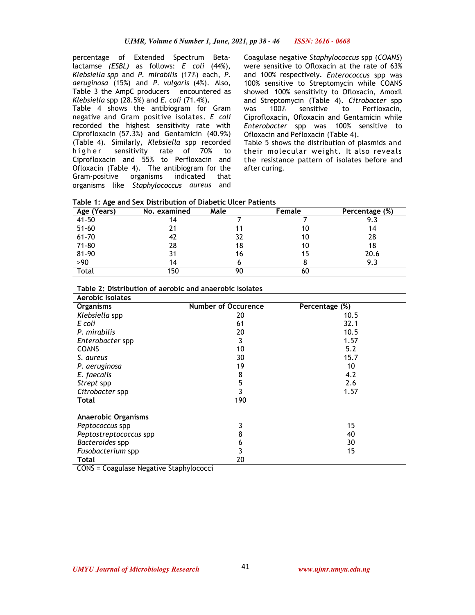percentage of Extended Spectrum Betalactamse *(ESBL)* as follows: *E coli* (44%), *Klebsiella spp* and *P. mirabilis* (17%) each, *P. aeruginosa* (15%) and *P. vulgaris* (4%). Also, Table 3 the AmpC producers encountered as *Klebsiella* spp (28.5%) and *E. coli* (71.4%)**.**

Table 4 shows the antibiogram for Gram negative and Gram positive isolates. *E coli*  recorded the highest sensitivity rate with Ciprofloxacin (57.3%) and Gentamicin (40.9%) (Table 4). Similarly, *Klebsiella* spp recorded higher sensitivity rate of 70% to Ciprofloxacin and 55% to Perfloxacin and Ofloxacin (Table 4). The antibiogram for the Gram-positive organisms indicated that organisms like *Staphylococcus aureus* and

Coagulase negative *Staphylococcus* spp (*COANS*) were sensitive to Ofloxacin at the rate of 63% and 100% respectively. *Enterococcus* spp was 100% sensitive to Streptomycin while COANS showed 100% sensitivity to Ofloxacin, Amoxil and Streptomycin (Table 4). *Citrobacter* spp was 100% sensitive to Perfloxacin, Ciprofloxacin, Ofloxacin and Gentamicin while *Enterobacter* spp was 100% sensitive to Ofloxacin and Pefloxacin (Table 4).

Table 5 shows the distribution of plasmids and their molecular weight. It also reveals the resistance pattern of isolates before and after curing.

|  |  |  |  | Table 1: Age and Sex Distribution of Diabetic Ulcer Patients |  |  |  |  |
|--|--|--|--|--------------------------------------------------------------|--|--|--|--|
|--|--|--|--|--------------------------------------------------------------|--|--|--|--|

| -<br>Age (Years) | No. examined | Male | Female | Percentage (%) |
|------------------|--------------|------|--------|----------------|
| 41-50            | 14           |      |        | 9.3            |
| $51 - 60$        | 21           |      | 10     | 14             |
| $61 - 70$        | 42           | 32   | 10     | 28             |
| $71 - 80$        | 28           | 18   | 10     | 18             |
| 81-90            | 31           | 16   | 15     | 20.6           |
| >90              | 14           |      |        | 9.3            |
| Total            | 150          | 90   | 60     |                |

| Table 2: Distribution of aerobic and anaerobic Isolates |  |  |
|---------------------------------------------------------|--|--|
|---------------------------------------------------------|--|--|

| <b>Aerobic Isolates</b>    |                            |                |
|----------------------------|----------------------------|----------------|
| <b>Organisms</b>           | <b>Number of Occurence</b> | Percentage (%) |
| Klebsiella spp             | 20                         | 10.5           |
| E coli                     | 61                         | 32.1           |
| P. mirabilis               | 20                         | 10.5           |
| Enterobacter spp           | 3                          | 1.57           |
| <b>COANS</b>               | 10                         | 5.2            |
| S. aureus                  | 30                         | 15.7           |
| P. aeruginosa              | 19                         | 10             |
| E. faecalis                | 8                          | 4.2            |
| Strept spp                 | 5                          | 2.6            |
| Citrobacter spp            |                            | 1.57           |
| Total                      | 190                        |                |
| <b>Anaerobic Organisms</b> |                            |                |
| Peptococcus spp            | 3                          | 15             |
| Peptostreptococcus spp     | 8                          | 40             |
| Bacteroides spp            | 6                          | 30             |
| Fusobacterium spp          | 3                          | 15             |
| Total                      | 20                         |                |

CONS = Coagulase Negative Staphylococci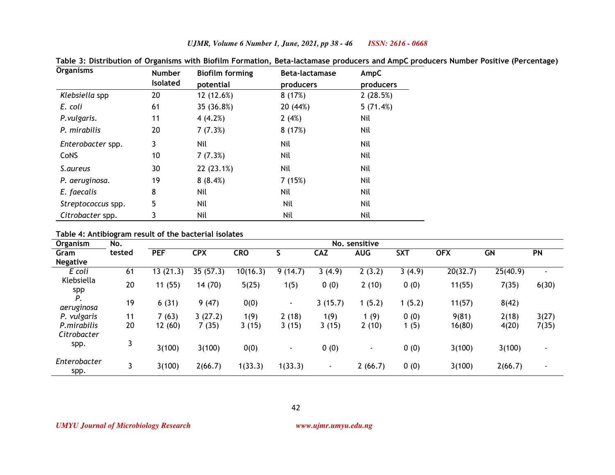| <b>Organisms</b>   | <b>Number</b> | <b>Biofilm forming</b> | Beta-lactamase | AmpC      |
|--------------------|---------------|------------------------|----------------|-----------|
|                    | Isolated      | potential              | producers      | producers |
| Klebsiella spp     | 20            | 12 (12.6%)             | 8(17%)         | 2(28.5%)  |
| E. coli            | 61            | 35 (36.8%)             | 20 (44%)       | 5(71.4%)  |
| P.vulgaris.        | 11            | 4(4.2%)                | 2(4%)          | Nil       |
| P. mirabilis       | 20            | 7(7.3%)                | 8(17%)         | Nil       |
| Enterobacter spp.  | 3             | Nil                    | Nil            | Nil       |
| <b>CoNS</b>        | 10            | 7(7.3%)                | Nil            | Nil       |
| S.aureus           | 30            | 22 (23.1%)             | Nil            | Nil       |
| P. aeruginosa.     | 19            | 8(8.4%)                | 7(15%)         | Nil       |
| E. faecalis        | 8             | Nil                    | Nil            | Nil       |
| Streptococcus spp. | 5             | Nil                    | Nil            | Nil       |
| Citrobacter spp.   | 3             | Nil                    | Nil            | Nil       |

**Table 3: Distribution of Organisms with Biofilm Formation, Beta-lactamase producers and AmpC producers Number Positive (Percentage)** 

*UJMR, Volume 6 Number 1, June, 2021, pp 38 - 46 ISSN: 2616 - 0668*

**Table 4: Antibiogram result of the bacterial isolates**

| Organism                   | No.    | No. sensitive |            |            |                          |            |            |            |            |           |                          |
|----------------------------|--------|---------------|------------|------------|--------------------------|------------|------------|------------|------------|-----------|--------------------------|
| Gram                       | tested | <b>PEF</b>    | <b>CPX</b> | <b>CRO</b> |                          | <b>CAZ</b> | <b>AUG</b> | <b>SXT</b> | <b>OFX</b> | <b>GN</b> | <b>PN</b>                |
| <b>Negative</b>            |        |               |            |            |                          |            |            |            |            |           |                          |
| E coli                     | 61     | 13(21.3)      | 35(57.3)   | 10(16.3)   | (14.7)<br>91             | 3(4.9)     | 2(3.2)     | 3(4.9)     | 20(32.7)   | 25(40.9)  | $\overline{\phantom{a}}$ |
| Klebsiella<br>spp          | 20     | 11(55)        | 14(70)     | 5(25)      | 1(5)                     | 0(0)       | 2(10)      | 0(0)       | 11(55)     | 7(35)     | 6(30)                    |
| Ρ.<br>aeruginosa           | 19     | 6(31)         | 9(47)      | 0(0)       | $\overline{\phantom{a}}$ | 3(15.7)    | 1(5.2)     | 1(5.2)     | 11(57)     | 8(42)     |                          |
| P. vulgaris                | 11     | 7(63)         | 3(27.2)    | 1(9)       | 2(18)                    | 1(9)       | 1(9)       | 0(0)       | 9(81)      | 2(18)     | 3(27)                    |
| P.mirabilis<br>Citrobacter | 20     | 12(60)        | 7(35)      | 3(15)      | 3(15)                    | 3(15)      | 2(10)      | 1 (5)      | 16(80)     | 4(20)     | 7(35)                    |
| spp.                       | 3      | 3(100)        | 3(100)     | 0(0)       |                          | 0(0)       |            | 0(0)       | 3(100)     | 3(100)    | $\overline{\phantom{0}}$ |
| Enterobacter<br>spp.       | 3      | 3(100)        | 2(66.7)    | 1(33.3)    | 1(33.3)                  | ۰.         | 2(66.7)    | 0(0)       | 3(100)     | 2(66.7)   | $\overline{\phantom{0}}$ |

42

*UMYU Journal of Microbiology Research www.ujmr.umyu.edu.ng*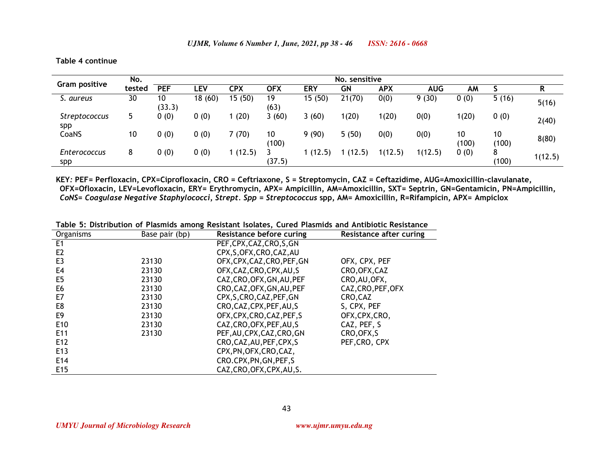**Table 4 continue** 

|                             | No.    | No. sensitive |         |            |             |            |        |            |            |             |             |         |
|-----------------------------|--------|---------------|---------|------------|-------------|------------|--------|------------|------------|-------------|-------------|---------|
| <b>Gram positive</b>        | tested | <b>PEF</b>    | ∟EV     | <b>CPX</b> | <b>OFX</b>  | <b>ERY</b> | GN     | <b>APX</b> | <b>AUG</b> | AM          |             | R       |
| S. aureus                   | 30     | 10<br>(33.3)  | 18 (60) | 15(50)     | 19<br>(63)  | 15 (50)    | 21(70) | 0(0)       | 9(30)      | 0(0)        | 5(16)       | 5(16)   |
| <b>Streptococcus</b><br>spp | 5      | 0(0)          | 0(0)    | 1(20)      | 3(60)       | 3(60)      | 1(20)  | 1(20)      | 0(0)       | 1(20)       | 0(0)        | 2(40)   |
| CoaNS                       | 10     | 0(0)          | 0(0)    | 7(70)      | 10<br>(100) | 9(90)      | 5(50)  | 0(0)       | 0(0)       | 10<br>(100) | 10<br>(100) | 8(80)   |
| <b>Enterococcus</b><br>spp  | 8      | 0(0)          | 0(0)    | 1(12.5)    | (37.5)      | 1 (12.5)   | (12.5) | 1(12.5)    | 1(12.5)    | 0(0)        | 8<br>(100)  | 1(12.5) |

**KEY***:* **PEF= Perfloxacin, CPX=Ciprofloxacin, CRO = Ceftriaxone, S = Streptomycin, CAZ = Ceftazidime, AUG=Amoxicillin-clavulanate, OFX=Ofloxacin, LEV=Levofloxacin, ERY= Erythromycin, APX= Ampicillin, AM=Amoxicillin, SXT= Septrin, GN=Gentamicin, PN=Ampicillin,***CoNS= Coagulase Negative Staphylococci***,** *Strept. Spp = Streptococcus* **spp, AM= Amoxicillin, R=Rifampicin, APX= Ampiclox**

|  |  |  |  |  | Table 5: Distribution of Plasmids among Resistant Isolates, Cured Plasmids and Antibiotic Resistance |  |
|--|--|--|--|--|------------------------------------------------------------------------------------------------------|--|
|  |  |  |  |  |                                                                                                      |  |

| Organisms       | Base pair (bp) | Resistance before curing    | <b>Resistance after curing</b> |
|-----------------|----------------|-----------------------------|--------------------------------|
| E <sub>1</sub>  |                | PEF, CPX, CAZ, CRO, S, GN   |                                |
| E <sub>2</sub>  |                | CPX, S, OFX, CRO, CAZ, AU   |                                |
| E <sub>3</sub>  | 23130          | OFX, CPX, CAZ, CRO, PEF, GN | OFX, CPX, PEF                  |
| E4              | 23130          | OFX, CAZ, CRO, CPX, AU, S   | CRO, OFX, CAZ                  |
| E5              | 23130          | CAZ, CRO, OFX, GN, AU, PEF  | CRO, AU, OFX,                  |
| E <sub>6</sub>  | 23130          | CRO, CAZ, OFX, GN, AU, PEF  | CAZ, CRO, PEF, OFX             |
| E7              | 23130          | CPX, S, CRO, CAZ, PEF, GN   | CRO, CAZ                       |
| E8              | 23130          | CRO, CAZ, CPX, PEF, AU, S   | S, CPX, PEF                    |
| E9              | 23130          | OFX, CPX, CRO, CAZ, PEF, S  | OFX, CPX, CRO,                 |
| E <sub>10</sub> | 23130          | CAZ, CRO, OFX, PEF, AU, S   | CAZ, PEF, S                    |
| E <sub>11</sub> | 23130          | PEF, AU, CPX, CAZ, CRO, GN  | CRO, OFX, S                    |
| E12             |                | CRO, CAZ, AU, PEF, CPX, S   | PEF, CRO, CPX                  |
| E <sub>13</sub> |                | CPX, PN, OFX, CRO, CAZ,     |                                |
| E14             |                | CRO.CPX, PN, GN, PEF, S     |                                |
| E <sub>15</sub> |                | CAZ, CRO, OFX, CPX, AU, S.  |                                |

*UMYU Journal of Microbiology Research www.ujmr.umyu.edu.ng*

43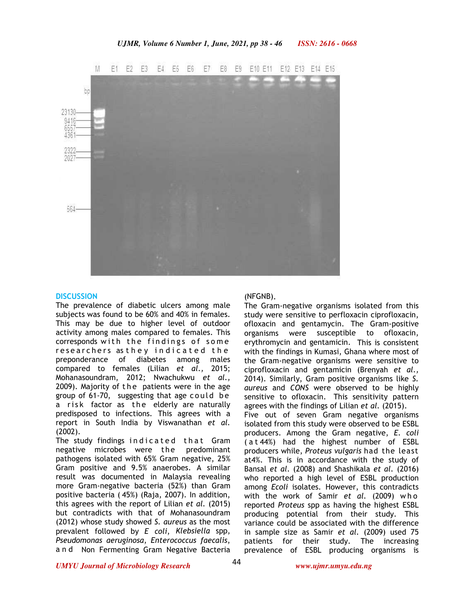

#### **DISCUSSION**

The prevalence of diabetic ulcers among male subjects was found to be 60% and 40% in females. This may be due to higher level of outdoor activity among males compared to females. This corresponds with the findings of some researchers as they indicated the preponderance of diabetes among males compared to females (Lilian *et al.,* 2015; Mohanasoundram, 2012; Nwachukwu *et al.,*  2009). Majority of the patients were in the age group of  $61-70$ , suggesting that age could be a risk factor as the elderly are naturally predisposed to infections. This agrees with a report in South India by Viswanathan *et al.*  (2002).

The study findings indicated that Gram negative microbes were the predominant pathogens isolated with 65% Gram negative, 25% Gram positive and 9.5% anaerobes. A similar result was documented in Malaysia revealing more Gram-negative bacteria (52%) than Gram positive bacteria ( 45%) (Raja, 2007). In addition, this agrees with the report of Lilian *et al.* (2015) but contradicts with that of Mohanasoundram (2012) whose study showed *S. aureus* as the most prevalent followed by *E coli*, *Klebsiella* spp, *Pseudomonas aeruginosa*, *Enterococcus faecalis*, a n d Non Fermenting Gram Negative Bacteria

#### (NFGNB).

The Gram-negative organisms isolated from this study were sensitive to perfloxacin ciprofloxacin, ofloxacin and gentamycin. The Gram-positive organisms were susceptible to ofloxacin, erythromycin and gentamicin. This is consistent with the findings in Kumasi, Ghana where most of the Gram-negative organisms were sensitive to ciprofloxacin and gentamicin (Brenyah *et al.,*  2014). Similarly, Gram positive organisms like *S. aureus* and *CONS* were observed to be highly sensitive to ofloxacin. This sensitivity pattern agrees with the findings of Lilian *et al.* (2015). Five out of seven Gram negative organisms isolated from this study were observed to be ESBL producers. Among the Gram negative, *E. coli*  ( a t 44%) had the highest number of ESBL producers while, *Proteus vulgaris* had the least at4%. This is in accordance with the study of Bansal *et al*. (2008) and Shashikala *et al.* (2016) who reported a high level of ESBL production among *Ecoli* isolates*.* However, this contradicts with the work of Samir *et al.* (2009) w h o reported *Proteus* spp as having the highest ESBL producing potential from their study. This variance could be associated with the difference in sample size as Samir *et al.* (2009) used 75 patients for their study. The increasing prevalence of ESBL producing organisms is

*UMYU Journal of Microbiology Research www.ujmr.umyu.edu.ng*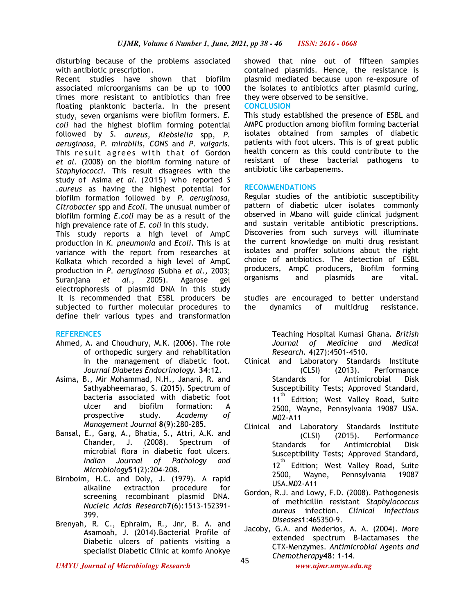disturbing because of the problems associated with antibiotic prescription.

Recent studies have shown that biofilm associated microorganisms can be up to 1000 times more resistant to antibiotics than free floating planktonic bacteria. In the present study, seven organisms were biofilm formers. *E. coli* had the highest biofilm forming potential followed by *S. aureus, Klebsiella* spp, *P. aeruginosa*, *P. mirabilis, CONS* and *P. vulgaris*. This result agrees with that of Gordon *et al.* (2008) on the biofilm forming nature of *Staphylococci*. This result disagrees with the study of Asima *et al.* (2015) who reported *S .aureus* as having the highest potential for biofilm formation followed by *P. aeruginosa*, *Citrobacter* spp and *Ecoli*. The unusual number of biofilm forming *E.coli* may be as a result of the high prevalence rate of *E. coli* in this study.

This study reports a high level of AmpC production in *K. pneumonia* and *Ecoli*. This is at variance with the report from researches at Kolkata which recorded a high level of AmpC production in *P*. *aeruginosa* (Subha *et al.,* 2003; Suranjana *et al.,* 2005). Agarose gel electrophoresis of plasmid DNA in this study It is recommended that ESBL producers be subjected to further molecular procedures to define their various types and transformation

# **REFERENCES**

- Ahmed, A. and Choudhury, M.K. (2006). The role of orthopedic surgery and rehabilitation in the management of diabetic foot. *Journal Diabetes Endocrinology.* **34**:12.
- Asima, B., Mir Mohammad, N.H., Janani, R. and Sathyabheemarao, S. (2015). Spectrum of bacteria associated with diabetic foot ulcer and biofilm formation: A prospective study. *Academy of Management Journal* **8**(9):280–285.
- Bansal, E., Garg, A., Bhatia, S., Attri, A.K. and Chander, J. (2008). Spectrum of microbial flora in diabetic foot ulcers. *Indian Journal of Pathology and Microbiology***51**(2):204-208.
- Birnboim, H.C. and Doly, J. (1979). A rapid alkaline extraction procedure for screening recombinant plasmid DNA. *Nucleic Acids Research***7**(6):1513-152391- 399.
- Brenyah, R. C., Ephraim, R., Jnr, B. A. and Asamoah, J. (2014).Bacterial Profile of Diabetic ulcers of patients visiting a specialist Diabetic Clinic at komfo Anokye

showed that nine out of fifteen samples contained plasmids. Hence, the resistance is plasmid mediated because upon re-exposure of the isolates to antibiotics after plasmid curing, they were observed to be sensitive.

**CONCLUSION**

This study established the presence of ESBL and AMPC production among biofilm forming bacterial isolates obtained from samples of diabetic patients with foot ulcers. This is of great public health concern as this could contribute to the resistant of these bacterial pathogens to antibiotic like carbapenems.

## **RECOMMENDATIONS**

Regular studies of the antibiotic susceptibility pattern of diabetic ulcer isolates commonly observed in Mbano will guide clinical judgment and sustain veritable antibiotic prescriptions. Discoveries from such surveys will illuminate the current knowledge on multi drug resistant isolates and proffer solutions about the right choice of antibiotics. The detection of ESBL producers, AmpC producers, Biofilm forming organisms and plasmids are vital.

studies are encouraged to better understand the dynamics of multidrug resistance.

> Teaching Hospital Kumasi Ghana. *British Journal of Medicine and Medical Research*. **4**(27):4501-4510.

- Clinical and Laboratory Standards Institute (CLSI) (2013). Performance Standards for Antimicrobial Disk Susceptibility Tests; Approved Standard, 11<sup>th</sup> Edition; West Valley Road, Suite 2500, Wayne, Pennsylvania 19087 USA. M02-A11
- Clinical and Laboratory Standards Institute (CLSI) (2015). Performance Standards for Antimicrobial Disk Susceptibility Tests; Approved Standard, 12<sup>th</sup> Edition; West Valley Road, Suite 2500, Wayne, Pennsylvania 19087 USA.M02-A11
- Gordon, R.J. and Lowy, F.D. (2008). Pathogenesis of methicillin resistant *Staphylococcus aureus* infection. *Clinical Infectious Diseases***1**:465350-9.
- Jacoby, G.A. and Mederios, A. A. (2004). More extended spectrum B-lactamases the CTX-Menzymes. *Antimicrobial Agents and Chemotherapy*<sup>48</sup>: 1-14.

*UMYU Journal of Microbiology Research www.ujmr.umyu.edu.ng*